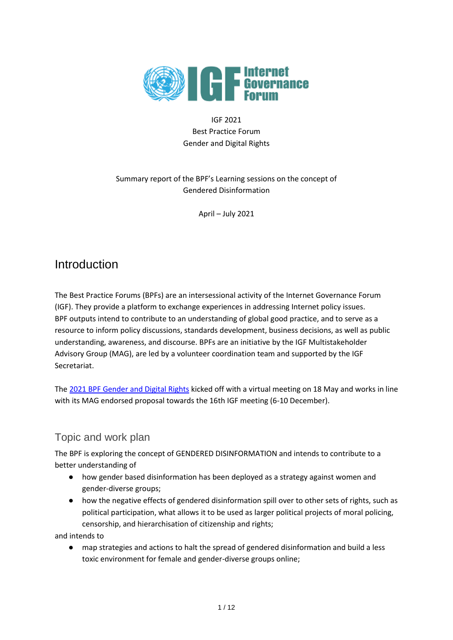

#### IGF 2021 Best Practice Forum Gender and Digital Rights

#### Summary report of the BPF's Learning sessions on the concept of Gendered Disinformation

April – July 2021

## Introduction

The Best Practice Forums (BPFs) are an intersessional activity of the Internet Governance Forum (IGF). They provide a platform to exchange experiences in addressing Internet policy issues. BPF outputs intend to contribute to an understanding of global good practice, and to serve as a resource to inform policy discussions, standards development, business decisions, as well as public understanding, awareness, and discourse. BPFs are an initiative by the IGF Multistakeholder Advisory Group (MAG), are led by a volunteer coordination team and supported by the IGF Secretariat.

The [2021 BPF Gender and Digital Rights](https://www.intgovforum.org/multilingual/content/bpf-gender-and-digital-rights) kicked off with a virtual meeting on 18 May and works in line with its MAG endorsed proposal towards the 16th IGF meeting (6-10 December).

### Topic and work plan

The BPF is exploring the concept of GENDERED DISINFORMATION and intends to contribute to a better understanding of

- how gender based disinformation has been deployed as a strategy against women and gender-diverse groups;
- how the negative effects of gendered disinformation spill over to other sets of rights, such as political participation, what allows it to be used as larger political projects of moral policing, censorship, and hierarchisation of citizenship and rights;

and intends to

● map strategies and actions to halt the spread of gendered disinformation and build a less toxic environment for female and gender-diverse groups online;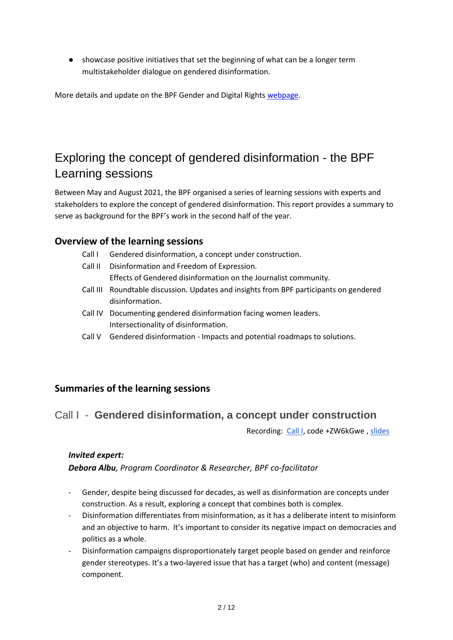● showcase positive initiatives that set the beginning of what can be a longer term multistakeholder dialogue on gendered disinformation.

More details and update on the BPF Gender and Digital Rights [webpage.](https://www.intgovforum.org/multilingual/content/bpf-gender-and-digital-rights)

# Exploring the concept of gendered disinformation - the BPF Learning sessions

Between May and August 2021, the BPF organised a series of learning sessions with experts and stakeholders to explore the concept of gendered disinformation. This report provides a summary to serve as background for the BPF's work in the second half of the year.

### **Overview of the learning sessions**

- Call I Gendered disinformation, a concept under construction.
- Call II Disinformation and Freedom of Expression. Effects of Gendered disinformation on the Journalist community.
- Call III Roundtable discussion. Updates and insights from BPF participants on gendered disinformation.
- Call IV Documenting gendered disinformation facing women leaders. Intersectionality of disinformation.
- Call V Gendered disinformation Impacts and potential roadmaps to solutions.

#### **Summaries of the learning sessions**

### Call I - **Gendered disinformation, a concept under construction**

Recording: [Call I,](https://intgovforum.zoom.us/rec/share/LUzCY2xk76ENMDW9BOXCh3PTHEv5pvLblktko3zuZr00yt1X4H33OKQtB-n50BFf.46EcXf01BVGf5a_u?startTime=1621344402000) code +ZW6kGwe, [slides](https://www.intgovforum.org/multilingual/filedepot_download/3405/2549)

#### *Invited expert:*

*Debora Albu, Program Coordinator & Researcher, BPF co-facilitator*

- Gender, despite being discussed for decades, as well as disinformation are concepts under construction. As a result, exploring a concept that combines both is complex.
- Disinformation differentiates from misinformation, as it has a deliberate intent to misinform and an objective to harm. It's important to consider its negative impact on democracies and politics as a whole.
- Disinformation campaigns disproportionately target people based on gender and reinforce gender stereotypes. It's a two-layered issue that has a target (who) and content (message) component.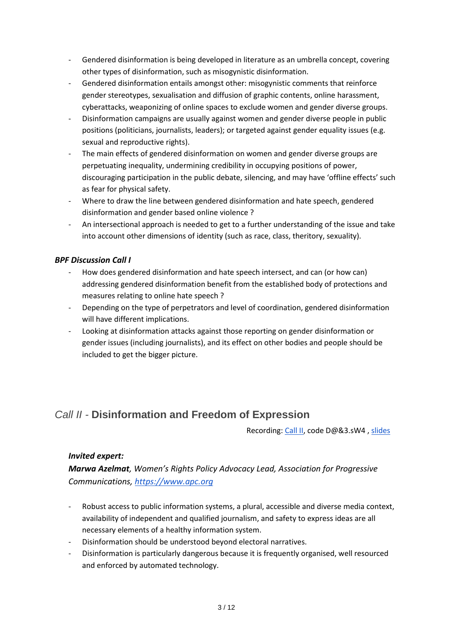- Gendered disinformation is being developed in literature as an umbrella concept, covering other types of disinformation, such as misogynistic disinformation.
- Gendered disinformation entails amongst other: misogynistic comments that reinforce gender stereotypes, sexualisation and diffusion of graphic contents, online harassment, cyberattacks, weaponizing of online spaces to exclude women and gender diverse groups.
- Disinformation campaigns are usually against women and gender diverse people in public positions (politicians, journalists, leaders); or targeted against gender equality issues (e.g. sexual and reproductive rights).
- The main effects of gendered disinformation on women and gender diverse groups are perpetuating inequality, undermining credibility in occupying positions of power, discouraging participation in the public debate, silencing, and may have 'offline effects' such as fear for physical safety.
- Where to draw the line between gendered disinformation and hate speech, gendered disinformation and gender based online violence ?
- An intersectional approach is needed to get to a further understanding of the issue and take into account other dimensions of identity (such as race, class, theritory, sexuality).

#### *BPF Discussion Call I*

- How does gendered disinformation and hate speech intersect, and can (or how can) addressing gendered disinformation benefit from the established body of protections and measures relating to online hate speech ?
- Depending on the type of perpetrators and level of coordination, gendered disinformation will have different implications.
- Looking at disinformation attacks against those reporting on gender disinformation or gender issues (including journalists), and its effect on other bodies and people should be included to get the bigger picture.

### *Call II -* **Disinformation and Freedom of Expression**

Recording[: Call II,](https://intgovforum.zoom.us/rec/share/wKrNu0QFG27vA5eyEkHHfVtxnXkipqo6akmkCeAo_2HeLN8nzREeYBHQ4WjKooNJ.RQDGzLVDRkv3hX0j) code D@&3.sW4, [slides](https://www.intgovforum.org/multilingual/filedepot_download/3405/2560)

#### *Invited expert:*

*Marwa Azelmat, Women's Rights Policy Advocacy Lead, Association for Progressive Communications, [https://www.apc.org](https://www.apc.org/)*

- Robust access to public information systems, a plural, accessible and diverse media context, availability of independent and qualified journalism, and safety to express ideas are all necessary elements of a healthy information system.
- Disinformation should be understood beyond electoral narratives.
- Disinformation is particularly dangerous because it is frequently organised, well resourced and enforced by automated technology.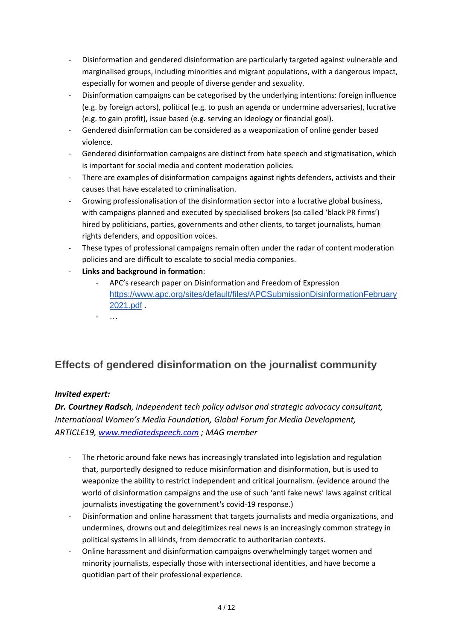- Disinformation and gendered disinformation are particularly targeted against vulnerable and marginalised groups, including minorities and migrant populations, with a dangerous impact, especially for women and people of diverse gender and sexuality.
- Disinformation campaigns can be categorised by the underlying intentions: foreign influence (e.g. by foreign actors), political (e.g. to push an agenda or undermine adversaries), lucrative (e.g. to gain profit), issue based (e.g. serving an ideology or financial goal).
- Gendered disinformation can be considered as a weaponization of online gender based violence.
- Gendered disinformation campaigns are distinct from hate speech and stigmatisation, which is important for social media and content moderation policies.
- There are examples of disinformation campaigns against rights defenders, activists and their causes that have escalated to criminalisation.
- Growing professionalisation of the disinformation sector into a lucrative global business, with campaigns planned and executed by specialised brokers (so called 'black PR firms') hired by politicians, parties, governments and other clients, to target journalists, human rights defenders, and opposition voices.
- These types of professional campaigns remain often under the radar of content moderation policies and are difficult to escalate to social media companies.
- **Links and background in formation**:
	- APC's research paper on Disinformation and Freedom of Expression [https://www.apc.org/sites/default/files/APCSubmissionDisinformationFebruary](https://www.apc.org/sites/default/files/APCSubmissionDisinformationFebruary2021.pdf) [2021.pdf](https://www.apc.org/sites/default/files/APCSubmissionDisinformationFebruary2021.pdf) .
	- …

### **Effects of gendered disinformation on the journalist community**

#### *Invited expert:*

*Dr. Courtney Radsch, independent tech policy advisor and strategic advocacy consultant, International Women's Media Foundation, Global Forum for Media Development, ARTICLE19, [www.mediatedspeech.com](http://www.mediatedspeech.com/) ; MAG member*

- The rhetoric around fake news has increasingly translated into legislation and regulation that, purportedly designed to reduce misinformation and disinformation, but is used to weaponize the ability to restrict independent and critical journalism. (evidence around the world of disinformation campaigns and the use of such 'anti fake news' laws against critical journalists investigating the government's covid-19 response.)
- Disinformation and online harassment that targets journalists and media organizations, and undermines, drowns out and delegitimizes real news is an increasingly common strategy in political systems in all kinds, from democratic to authoritarian contexts.
- Online harassment and disinformation campaigns overwhelmingly target women and minority journalists, especially those with intersectional identities, and have become a quotidian part of their professional experience.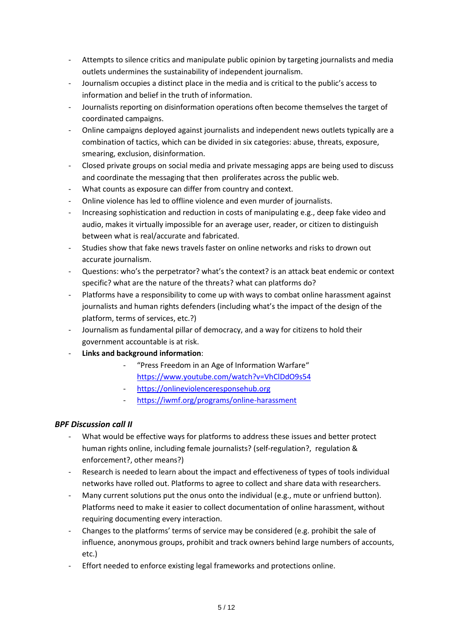- Attempts to silence critics and manipulate public opinion by targeting journalists and media outlets undermines the sustainability of independent journalism.
- Journalism occupies a distinct place in the media and is critical to the public's access to information and belief in the truth of information.
- Journalists reporting on disinformation operations often become themselves the target of coordinated campaigns.
- Online campaigns deployed against journalists and independent news outlets typically are a combination of tactics, which can be divided in six categories: abuse, threats, exposure, smearing, exclusion, disinformation.
- Closed private groups on social media and private messaging apps are being used to discuss and coordinate the messaging that then proliferates across the public web.
- What counts as exposure can differ from country and context.
- Online violence has led to offline violence and even murder of journalists.
- Increasing sophistication and reduction in costs of manipulating e.g., deep fake video and audio, makes it virtually impossible for an average user, reader, or citizen to distinguish between what is real/accurate and fabricated.
- Studies show that fake news travels faster on online networks and risks to drown out accurate journalism.
- Questions: who's the perpetrator? what's the context? is an attack beat endemic or context specific? what are the nature of the threats? what can platforms do?
- Platforms have a responsibility to come up with ways to combat online harassment against journalists and human rights defenders (including what's the impact of the design of the platform, terms of services, etc.?)
- Journalism as fundamental pillar of democracy, and a way for citizens to hold their government accountable is at risk.
- **Links and background information**:
	- "[Press Freedom in an Age of Information Warfare](https://www.youtube.com/watch?v=VhClDdO9s54)" <https://www.youtube.com/watch?v=VhClDdO9s54>
	- [https://onlineviolenceresponsehub.org](https://onlineviolenceresponsehub.org/)
	- <https://iwmf.org/programs/online-harassment>

#### *BPF Discussion call II*

- What would be effective ways for platforms to address these issues and better protect human rights online, including female journalists? (self-regulation?, regulation & enforcement?, other means?)
- Research is needed to learn about the impact and effectiveness of types of tools individual networks have rolled out. Platforms to agree to collect and share data with researchers.
- Many current solutions put the onus onto the individual (e.g., mute or unfriend button). Platforms need to make it easier to collect documentation of online harassment, without requiring documenting every interaction.
- Changes to the platforms' terms of service may be considered (e.g. prohibit the sale of influence, anonymous groups, prohibit and track owners behind large numbers of accounts, etc.)
- Effort needed to enforce existing legal frameworks and protections online.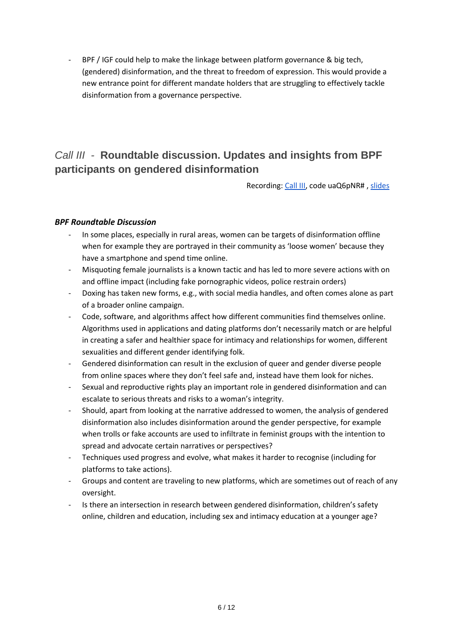- BPF / IGF could help to make the linkage between platform governance & big tech, (gendered) disinformation, and the threat to freedom of expression. This would provide a new entrance point for different mandate holders that are struggling to effectively tackle disinformation from a governance perspective.

## *Call III -* **Roundtable discussion. Updates and insights from BPF participants on gendered disinformation**

Recording[: Call III,](https://intgovforum.zoom.us/rec/share/Np2CkrhujZKoaE1yn7u6L0aSTK2bvAWJqYAt_whoCrvcC44L5uFjbuSsJi3wj1cv.jTzzcvVZuIxP2woy?startTime=1624628489000) code uaQ6pNR# , [slides](https://www.intgovforum.org/multilingual/filedepot_download/3405/2592)

#### *BPF Roundtable Discussion*

- In some places, especially in rural areas, women can be targets of disinformation offline when for example they are portrayed in their community as 'loose women' because they have a smartphone and spend time online.
- Misquoting female journalists is a known tactic and has led to more severe actions with on and offline impact (including fake pornographic videos, police restrain orders)
- Doxing has taken new forms, e.g., with social media handles, and often comes alone as part of a broader online campaign.
- Code, software, and algorithms affect how different communities find themselves online. Algorithms used in applications and dating platforms don't necessarily match or are helpful in creating a safer and healthier space for intimacy and relationships for women, different sexualities and different gender identifying folk.
- Gendered disinformation can result in the exclusion of queer and gender diverse people from online spaces where they don't feel safe and, instead have them look for niches.
- Sexual and reproductive rights play an important role in gendered disinformation and can escalate to serious threats and risks to a woman's integrity.
- Should, apart from looking at the narrative addressed to women, the analysis of gendered disinformation also includes disinformation around the gender perspective, for example when trolls or fake accounts are used to infiltrate in feminist groups with the intention to spread and advocate certain narratives or perspectives?
- Techniques used progress and evolve, what makes it harder to recognise (including for platforms to take actions).
- Groups and content are traveling to new platforms, which are sometimes out of reach of any oversight.
- Is there an intersection in research between gendered disinformation, children's safety online, children and education, including sex and intimacy education at a younger age?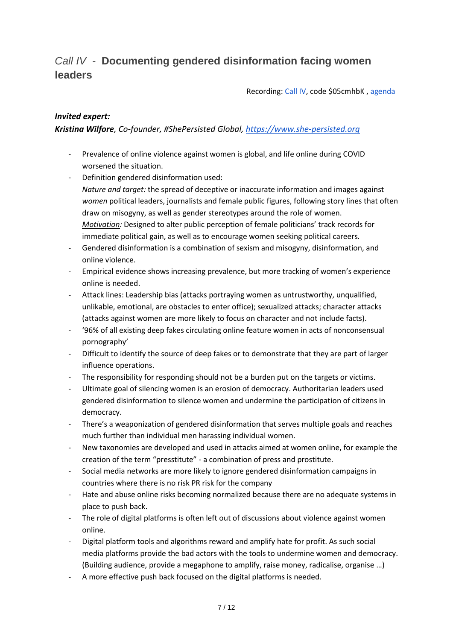## *Call IV -* **Documenting gendered disinformation facing women leaders**

Recording[: Call IV,](https://intgovforum.zoom.us/rec/play/qADdRwtadbr3l8hvHpZe-c8TML355LzPx7hCcr6SLVe62UpU9TWkRf7wR-ClCXbKrvWJJVTWu4peXEu4.vpfYav5MGE-oKoqb) code \$05cmhbK[, agenda](https://www.intgovforum.org/multilingual/filedepot_download/3405/2605)

#### *Invited expert:*

*Kristina Wilfore, Co-founder, #ShePersisted Global, [https://www.she-persisted.org](https://www.she-persisted.org/)* 

- Prevalence of online violence against women is global, and life online during COVID worsened the situation.
- Definition gendered disinformation used: *Nature and target:* the spread of deceptive or inaccurate information and images against *women* political leaders, journalists and female public figures, following story lines that often draw on misogyny, as well as gender stereotypes around the role of women. *Motivation:* Designed to alter public perception of female politicians' track records for immediate political gain, as well as to encourage women seeking political careers.
- Gendered disinformation is a combination of sexism and misogyny, disinformation, and online violence.
- Empirical evidence shows increasing prevalence, but more tracking of women's experience online is needed.
- Attack lines: Leadership bias (attacks portraying women as untrustworthy, unqualified, unlikable, emotional, are obstacles to enter office); sexualized attacks; character attacks (attacks against women are more likely to focus on character and not include facts).
- '96% of all existing deep fakes circulating online feature women in acts of nonconsensual pornography'
- Difficult to identify the source of deep fakes or to demonstrate that they are part of larger influence operations.
- The responsibility for responding should not be a burden put on the targets or victims.
- Ultimate goal of silencing women is an erosion of democracy. Authoritarian leaders used gendered disinformation to silence women and undermine the participation of citizens in democracy.
- There's a weaponization of gendered disinformation that serves multiple goals and reaches much further than individual men harassing individual women.
- New taxonomies are developed and used in attacks aimed at women online, for example the creation of the term "presstitute" - a combination of press and prostitute.
- Social media networks are more likely to ignore gendered disinformation campaigns in countries where there is no risk PR risk for the company
- Hate and abuse online risks becoming normalized because there are no adequate systems in place to push back.
- The role of digital platforms is often left out of discussions about violence against women online.
- Digital platform tools and algorithms reward and amplify hate for profit. As such social media platforms provide the bad actors with the tools to undermine women and democracy. (Building audience, provide a megaphone to amplify, raise money, radicalise, organise …)
- A more effective push back focused on the digital platforms is needed.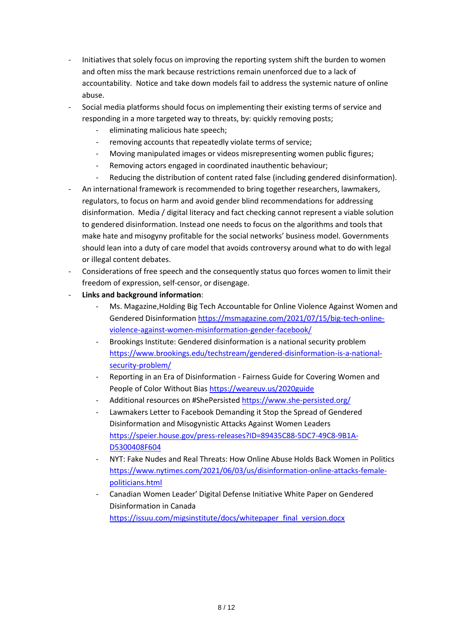- Initiatives that solely focus on improving the reporting system shift the burden to women and often miss the mark because restrictions remain unenforced due to a lack of accountability. Notice and take down models fail to address the systemic nature of online abuse.
- Social media platforms should focus on implementing their existing terms of service and responding in a more targeted way to threats, by: quickly removing posts;
	- eliminating malicious hate speech;
	- removing accounts that repeatedly violate terms of service;
	- Moving manipulated images or videos misrepresenting women public figures;
	- Removing actors engaged in coordinated inauthentic behaviour;
	- Reducing the distribution of content rated false (including gendered disinformation).
- An international framework is recommended to bring together researchers, lawmakers, regulators, to focus on harm and avoid gender blind recommendations for addressing disinformation. Media / digital literacy and fact checking cannot represent a viable solution to gendered disinformation. Instead one needs to focus on the algorithms and tools that make hate and misogyny profitable for the social networks' business model. Governments should lean into a duty of care model that avoids controversy around what to do with legal or illegal content debates.
- Considerations of free speech and the consequently status quo forces women to limit their freedom of expression, self-censor, or disengage.
- **Links and background information**:
	- Ms. Magazine[,Holding Big Tech Accountable for Online Violence Against Women and](https://msmagazine.com/2021/07/15/big-tech-online-violence-against-women-misinformation-gender-facebook/)  [Gendered Disinformation](https://msmagazine.com/2021/07/15/big-tech-online-violence-against-women-misinformation-gender-facebook/) [https://msmagazine.com/2021/07/15/big-tech-online](https://msmagazine.com/2021/07/15/big-tech-online-violence-against-women-misinformation-gender-facebook/)[violence-against-women-misinformation-gender-facebook/](https://msmagazine.com/2021/07/15/big-tech-online-violence-against-women-misinformation-gender-facebook/)
	- Brookings Institute: [Gendered disinformation is a national security problem](https://www.brookings.edu/techstream/gendered-disinformation-is-a-national-security-problem/)  [https://www.brookings.edu/techstream/gendered-disinformation-is-a-national](https://www.brookings.edu/techstream/gendered-disinformation-is-a-national-security-problem/)[security-problem/](https://www.brookings.edu/techstream/gendered-disinformation-is-a-national-security-problem/)
	- Reporting in an Era of Disinformation Fairness Guide for Covering Women and [People of Color Without Bias](https://weareuv.us/2020guide) <https://weareuv.us/2020guide>
	- Additional resources o[n #ShePersisted](https://www.she-persisted.org/) <https://www.she-persisted.org/>
	- Lawmakers Letter to Facebook Demanding it Stop the Spread of Gendered [Disinformation and Misogynistic Attacks Against Women Leaders](https://speier.house.gov/press-releases?ID=89435C88-5DC7-49C8-9B1A-D5300408F604) [https://speier.house.gov/press-releases?ID=89435C88-5DC7-49C8-9B1A-](https://speier.house.gov/press-releases?ID=89435C88-5DC7-49C8-9B1A-D5300408F604)[D5300408F604](https://speier.house.gov/press-releases?ID=89435C88-5DC7-49C8-9B1A-D5300408F604)
	- [NYT: Fake Nudes and Real Threats: How Online Abuse Holds Back Women in Politics](https://www.nytimes.com/2021/06/03/us/disinformation-online-attacks-female-politicians.html) [https://www.nytimes.com/2021/06/03/us/disinformation-online-attacks-female](https://www.nytimes.com/2021/06/03/us/disinformation-online-attacks-female-politicians.html)[politicians.html](https://www.nytimes.com/2021/06/03/us/disinformation-online-attacks-female-politicians.html)
	- [Canadian Women Leader' Digital Defense Initiative White Paper on Ge](https://issuu.com/migsinstitute/docs/whitepaper_final_version.docx)ndered [Disinformation in Canada](https://issuu.com/migsinstitute/docs/whitepaper_final_version.docx) [https://issuu.com/migsinstitute/docs/whitepaper\\_final\\_version.docx](https://issuu.com/migsinstitute/docs/whitepaper_final_version.docx)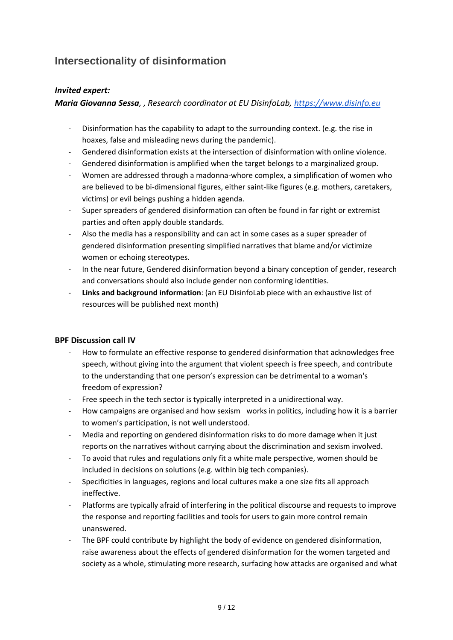## **Intersectionality of disinformation**

#### *Invited expert:*

*Maria Giovanna Sessa, , Research coordinator at EU DisinfoLab, [https://www.disinfo.eu](https://www.disinfo.eu/)*

- Disinformation has the capability to adapt to the surrounding context. (e.g. the rise in hoaxes, false and misleading news during the pandemic).
- Gendered disinformation exists at the intersection of disinformation with online violence.
- Gendered disinformation is amplified when the target belongs to a marginalized group.
- Women are addressed through a madonna-whore complex, a simplification of women who are believed to be bi-dimensional figures, either saint-like figures (e.g. mothers, caretakers, victims) or evil beings pushing a hidden agenda.
- Super spreaders of gendered disinformation can often be found in far right or extremist parties and often apply double standards.
- Also the media has a responsibility and can act in some cases as a super spreader of gendered disinformation presenting simplified narratives that blame and/or victimize women or echoing stereotypes.
- In the near future, Gendered disinformation beyond a binary conception of gender, research and conversations should also include gender non conforming identities.
- **Links and background information**: (an EU DisinfoLab piece with an exhaustive list of resources will be published next month)

#### **BPF Discussion call IV**

- How to formulate an effective response to gendered disinformation that acknowledges free speech, without giving into the argument that violent speech is free speech, and contribute to the understanding that one person's expression can be detrimental to a woman's freedom of expression?
- Free speech in the tech sector is typically interpreted in a unidirectional way.
- How campaigns are organised and how sexism works in politics, including how it is a barrier to women's participation, is not well understood.
- Media and reporting on gendered disinformation risks to do more damage when it just reports on the narratives without carrying about the discrimination and sexism involved.
- To avoid that rules and regulations only fit a white male perspective, women should be included in decisions on solutions (e.g. within big tech companies).
- Specificities in languages, regions and local cultures make a one size fits all approach ineffective.
- Platforms are typically afraid of interfering in the political discourse and requests to improve the response and reporting facilities and tools for users to gain more control remain unanswered.
- The BPF could contribute by highlight the body of evidence on gendered disinformation, raise awareness about the effects of gendered disinformation for the women targeted and society as a whole, stimulating more research, surfacing how attacks are organised and what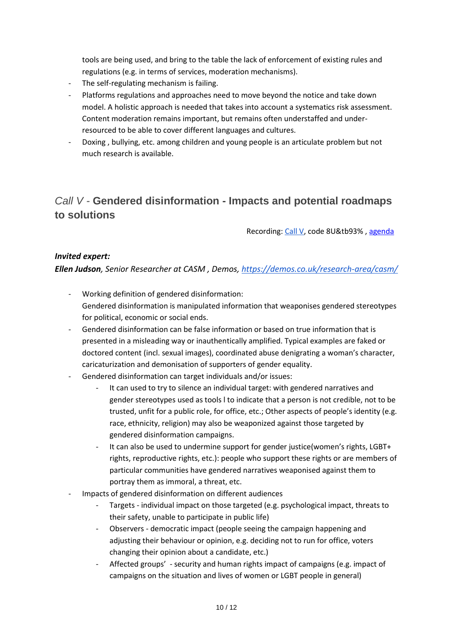tools are being used, and bring to the table the lack of enforcement of existing rules and regulations (e.g. in terms of services, moderation mechanisms).

- The self-regulating mechanism is failing.
- Platforms regulations and approaches need to move beyond the notice and take down model. A holistic approach is needed that takes into account a systematics risk assessment. Content moderation remains important, but remains often understaffed and underresourced to be able to cover different languages and cultures.
- Doxing , bullying, etc. among children and young people is an articulate problem but not much research is available.

### *Call V -* **Gendered disinformation - Impacts and potential roadmaps to solutions**

Recording[: Call V,](https://intgovforum.zoom.us/rec/share/Zj9scCzkU_16s5TgFwtFVgQapZyeqPmk8csISF7r1QbXY0bEOxjZfGtL_NXZqJOQ.emm6OTINleQshsFD?startTime=1627048692000) code 8U&tb93% , [agenda](https://www.intgovforum.org/multilingual/filedepot_download/5004/2635)

#### *Invited expert:*

*Ellen Judson, Senior Researcher at CASM , Demos,<https://demos.co.uk/research-area/casm/>*

- Working definition of gendered disinformation: Gendered disinformation is manipulated information that weaponises gendered stereotypes for political, economic or social ends.
- Gendered disinformation can be false information or based on true information that is presented in a misleading way or inauthentically amplified. Typical examples are faked or doctored content (incl. sexual images), coordinated abuse denigrating a woman's character, caricaturization and demonisation of supporters of gender equality.
- Gendered disinformation can target individuals and/or issues:
	- It can used to try to silence an individual target: with gendered narratives and gender stereotypes used as tools l to indicate that a person is not credible, not to be trusted, unfit for a public role, for office, etc.; Other aspects of people's identity (e.g. race, ethnicity, religion) may also be weaponized against those targeted by gendered disinformation campaigns.
	- It can also be used to undermine support for gender justice(women's rights, LGBT+ rights, reproductive rights, etc.): people who support these rights or are members of particular communities have gendered narratives weaponised against them to portray them as immoral, a threat, etc.
- Impacts of gendered disinformation on different audiences
	- Targets individual impact on those targeted (e.g. psychological impact, threats to their safety, unable to participate in public life)
	- Observers democratic impact (people seeing the campaign happening and adjusting their behaviour or opinion, e.g. deciding not to run for office, voters changing their opinion about a candidate, etc.)
	- Affected groups' security and human rights impact of campaigns (e.g. impact of campaigns on the situation and lives of women or LGBT people in general)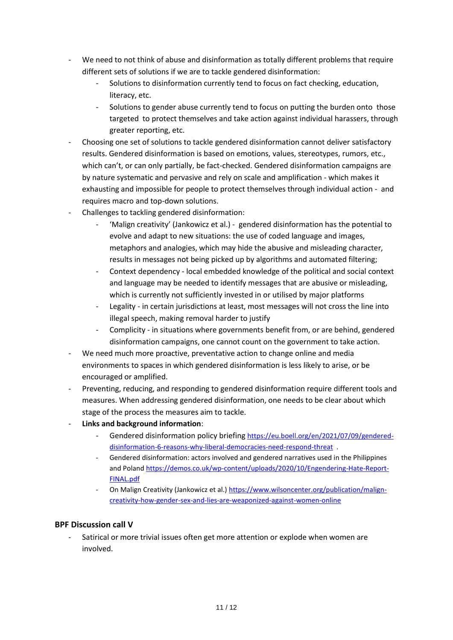- We need to not think of abuse and disinformation as totally different problems that require different sets of solutions if we are to tackle gendered disinformation:
	- Solutions to disinformation currently tend to focus on fact checking, education, literacy, etc.
	- Solutions to gender abuse currently tend to focus on putting the burden onto those targeted to protect themselves and take action against individual harassers, through greater reporting, etc.
- Choosing one set of solutions to tackle gendered disinformation cannot deliver satisfactory results. Gendered disinformation is based on emotions, values, stereotypes, rumors, etc., which can't, or can only partially, be fact-checked. Gendered disinformation campaigns are by nature systematic and pervasive and rely on scale and amplification - which makes it exhausting and impossible for people to protect themselves through individual action - and requires macro and top-down solutions.
- Challenges to tackling gendered disinformation:
	- 'Malign creativity' (Jankowicz et al.) gendered disinformation has the potential to evolve and adapt to new situations: the use of coded language and images, metaphors and analogies, which may hide the abusive and misleading character, results in messages not being picked up by algorithms and automated filtering;
	- Context dependency local embedded knowledge of the political and social context and language may be needed to identify messages that are abusive or misleading, which is currently not sufficiently invested in or utilised by major platforms
	- Legality in certain jurisdictions at least, most messages will not cross the line into illegal speech, making removal harder to justify
	- Complicity in situations where governments benefit from, or are behind, gendered disinformation campaigns, one cannot count on the government to take action.
- We need much more proactive, preventative action to change online and media environments to spaces in which gendered disinformation is less likely to arise, or be encouraged or amplified.
- Preventing, reducing, and responding to gendered disinformation require different tools and measures. When addressing gendered disinformation, one needs to be clear about which stage of the process the measures aim to tackle.
- **Links and background information**:
	- Gendered disinformation policy briefing [https://eu.boell.org/en/2021/07/09/gendered](https://eu.boell.org/en/2021/07/09/gendered-disinformation-6-reasons-why-liberal-democracies-need-respond-threat)[disinformation-6-reasons-why-liberal-democracies-need-respond-threat](https://eu.boell.org/en/2021/07/09/gendered-disinformation-6-reasons-why-liberal-democracies-need-respond-threat) .
	- Gendered disinformation: actors involved and gendered narratives used in the Philippines and Poland [https://demos.co.uk/wp-content/uploads/2020/10/Engendering-Hate-Report-](https://demos.co.uk/wp-content/uploads/2020/10/Engendering-Hate-Report-FINAL.pdf)[FINAL.pdf](https://demos.co.uk/wp-content/uploads/2020/10/Engendering-Hate-Report-FINAL.pdf)
	- On Malign Creativity (Jankowicz et al.) [https://www.wilsoncenter.org/publication/malign](https://www.wilsoncenter.org/publication/malign-creativity-how-gender-sex-and-lies-are-weaponized-against-women-online)[creativity-how-gender-sex-and-lies-are-weaponized-against-women-online](https://www.wilsoncenter.org/publication/malign-creativity-how-gender-sex-and-lies-are-weaponized-against-women-online)

#### **BPF Discussion call V**

Satirical or more trivial issues often get more attention or explode when women are involved.